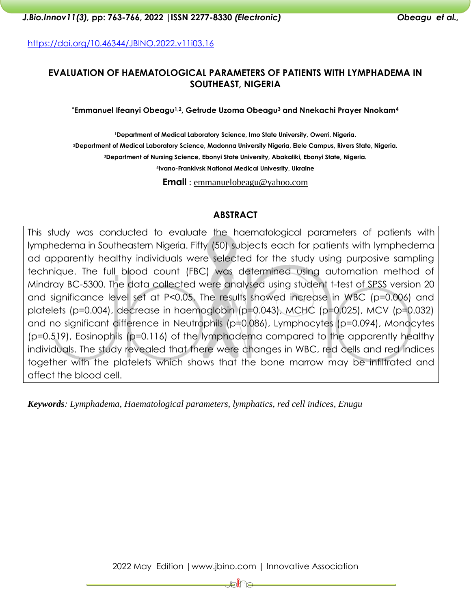<https://doi.org/10.46344/JBINO.2022.v11i03.16>

# **EVALUATION OF HAEMATOLOGICAL PARAMETERS OF PATIENTS WITH LYMPHADEMA IN SOUTHEAST, NIGERIA**

**\*Emmanuel Ifeanyi Obeagu1,2, Getrude Uzoma Obeagu<sup>3</sup> and Nnekachi Prayer Nnokam<sup>4</sup>**

**Department of Medical Laboratory Science, Imo State University, Owerri, Nigeria. Department of Medical Laboratory Science, Madonna University Nigeria, Elele Campus, Rivers State, Nigeria. Department of Nursing Science, Ebonyi State University, Abakaliki, Ebonyi State, Nigeria. Ivano-Frankivsk National Medical Univesrity, Ukraine**

**Email** : emmanuelobeagu@yahoo.com

#### **ABSTRACT**

This study was conducted to evaluate the haematological parameters of patients with lymphedema in Southeastern Nigeria. Fifty (50) subjects each for patients with lymphedema ad apparently healthy individuals were selected for the study using purposive sampling technique. The full blood count (FBC) was determined using automation method of Mindray BC-5300. The data collected were analysed using student t-test of SPSS version 20 and significance level set at P<0.05. The results showed increase in WBC (p=0.006) and platelets (p=0.004), decrease in haemoglobin (p=0.043), MCHC (p=0.025), MCV (p=0.032) and no significant difference in Neutrophils (p=0.086), Lymphocytes (p=0.094), Monocytes (p=0.519), Eosinophils (p=0.116) of the lymphadema compared to the apparently healthy individuals. The study revealed that there were changes in WBC, red cells and red indices together with the platelets which shows that the bone marrow may be infiltrated and affect the blood cell.

*Keywords: Lymphadema, Haematological parameters, lymphatics, red cell indices, Enugu*

₽€€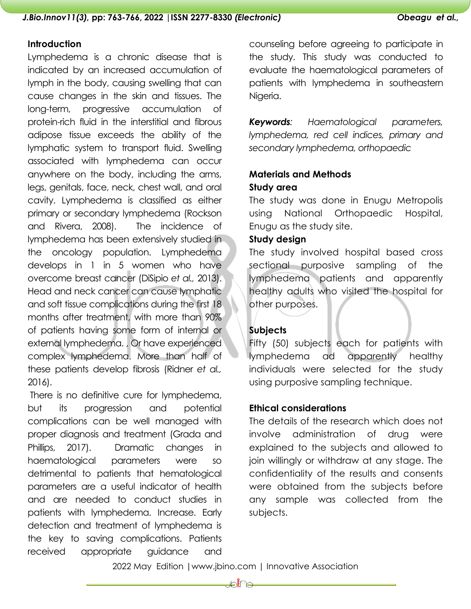#### **Introduction**

Lymphedema is a chronic disease that is indicated by an increased accumulation of lymph in the body, causing swelling that can cause changes in the skin and tissues. The long-term, progressive accumulation of protein-rich fluid in the interstitial and fibrous adipose tissue exceeds the ability of the lymphatic system to transport fluid. Swelling associated with lymphedema can occur anywhere on the body, including the arms, legs, genitals, face, neck, chest wall, and oral cavity. Lymphedema is classified as either primary or secondary lymphedema (Rockson and Rivera, 2008). The incidence of lymphedema has been extensively studied in the oncology population. Lymphedema develops in 1 in 5 women who have overcome breast cancer (DiSipio *et al.,* 2013). Head and neck cancer can cause lymphatic and soft tissue complications during the first 18 months after treatment, with more than 90% of patients having some form of internal or external lymphedema. , Or have experienced complex lymphedema. More than half of these patients develop fibrosis (Ridner *et al.,* 2016).

There is no definitive cure for lymphedema, but its progression and potential complications can be well managed with proper diagnosis and treatment (Grada and Phillips, 2017). Dramatic changes in haematological parameters were so detrimental to patients that hematological parameters are a useful indicator of health and are needed to conduct studies in patients with lymphedema. Increase. Early detection and treatment of lymphedema is the key to saving complications. Patients received appropriate guidance and

counseling before agreeing to participate in the study. This study was conducted to evaluate the haematological parameters of patients with lymphedema in southeastern Niaeria.

*Keywords: Haematological parameters, lymphedema, red cell indices, primary and secondary lymphedema, orthopaedic*

# **Materials and Methods Study area**

The study was done in Enugu Metropolis using National Orthopaedic Hospital, Enugu as the study site.

#### **Study design**

The study involved hospital based cross sectional purposive sampling of the lymphedema patients and apparently healthy adults who visited the hospital for other purposes.

# **Subjects**

Fifty (50) subjects each for patients with lymphedema ad apparently healthy individuals were selected for the study using purposive sampling technique.

#### **Ethical considerations**

The details of the research which does not involve administration of drug were explained to the subjects and allowed to join willingly or withdraw at any stage. The confidentiality of the results and consents were obtained from the subjects before any sample was collected from the subjects.

2022 May Edition |www.jbino.com | Innovative Association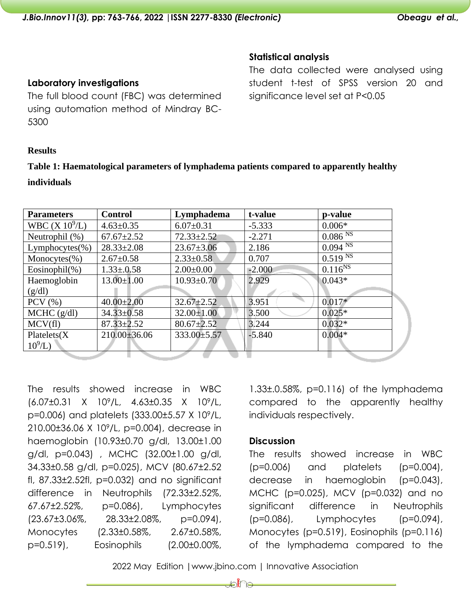# **Statistical analysis**

The data collected were analysed using student t-test of SPSS version 20 and significance level set at P<0.05

# **Results**

5300

**Laboratory investigations**

The full blood count (FBC) was determined using automation method of Mindray BC-

# **Table 1: Haematological parameters of lymphadema patients compared to apparently healthy**

#### **individuals**

| <b>Parameters</b>   | <b>Control</b>   | Lymphadema       | t-value  | p-value             |
|---------------------|------------------|------------------|----------|---------------------|
| WBC $(X 10^9/L)$    | $4.63 \pm 0.35$  | $6.07 \pm 0.31$  | $-5.333$ | $0.006*$            |
| Neutrophil (%)      | $67.67 \pm 2.52$ | $72.33 \pm 2.52$ | $-2.271$ | 0.086 <sup>NS</sup> |
| Lymphocytes $(\% )$ | $28.33 \pm 2.08$ | $23.67 \pm 3.06$ | 2.186    | $0.094 N\bar{s}$    |
| Monocytes $(\%)$    | $2.67 \pm 0.58$  | $2.33 \pm 0.58$  | 0.707    | $0.519^{N}$         |
| Eosinophil $(\%)$   | $1.33 \pm 0.58$  | $2.00\pm0.00$    | $-2.000$ | $0.116^{NS}$        |
| Haemoglobin         | $13.00 \pm 1.00$ | $10.93 \pm 0.70$ | 2.929    | $0.043*$            |
| (g/dl)              |                  |                  |          |                     |
| $PCV$ $(\% )$       | $40.00 \pm 2.00$ | $32.67 \pm 2.52$ | 3.951    | $0.017*$            |
| $MCHC$ (g/dl)       | $34.33 \pm 0.58$ | $32.00 \pm 1.00$ | 3.500    | $0.025*$            |
| MCV(f)              | $87.33 \pm 2.52$ | $80.67 \pm 2.52$ | 3.244    | $0.032*$            |
| Platelets(X)        | $210.00\pm36.06$ | 333.00±5.57      | $-5.840$ | $0.004*$            |
| $10^9$ /L)          |                  |                  |          |                     |
|                     |                  |                  |          |                     |

The results showed increase in WBC (6.07±0.31 X 109/L, 4.63±0.35 X 109/L, p=0.006) and platelets (333.00±5.57 X 109/L, 210.00±36.06 X 109/L, p=0.004), decrease in haemoglobin (10.93±0.70 g/dl, 13.00±1.00 g/dl, p=0.043) , MCHC (32.00±1.00 g/dl, 34.33±0.58 g/dl, p=0.025), MCV (80.67±2.52 fl, 87.33±2.52fl, p=0.032) and no significant difference in Neutrophils (72.33±2.52%, 67.67±2.52%, p=0.086), Lymphocytes  $(23.67\pm3.06\%,$  28.33 $\pm$ 2.08%, p=0.094), Monocytes (2.33±0.58%, 2.67±0.58%, p=0.519), Eosinophils (2.00±0.00%,

1.33±.0.58%, p=0.116) of the lymphadema compared to the apparently healthy individuals respectively.

## **Discussion**

The results showed increase in WBC (p=0.006) and platelets (p=0.004), decrease in haemoglobin (p=0.043), MCHC (p=0.025), MCV (p=0.032) and no significant difference in Neutrophils (p=0.086), Lymphocytes (p=0.094), Monocytes (p=0.519), Eosinophils (p=0.116) of the lymphadema compared to the